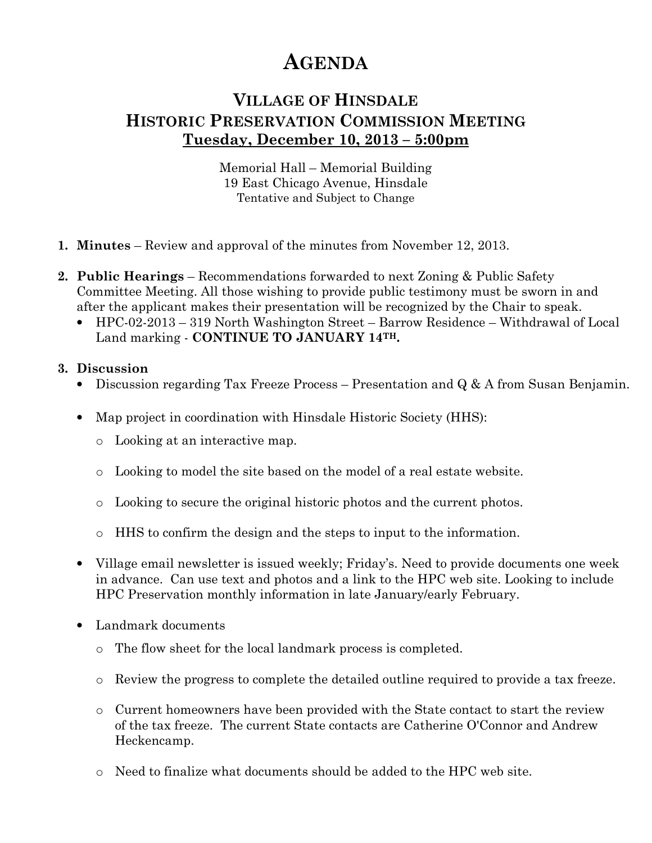## AGENDA

## VILLAGE OF HINSDALE HISTORIC PRESERVATION COMMISSION MEETING Tuesday, December 10, 2013 – 5:00pm

Memorial Hall – Memorial Building 19 East Chicago Avenue, Hinsdale Tentative and Subject to Change

- 1. Minutes Review and approval of the minutes from November 12, 2013.
- 2. Public Hearings Recommendations forwarded to next Zoning & Public Safety Committee Meeting. All those wishing to provide public testimony must be sworn in and after the applicant makes their presentation will be recognized by the Chair to speak.
	- HPC-02-2013 319 North Washington Street Barrow Residence Withdrawal of Local Land marking - CONTINUE TO JANUARY 14TH.

## 3. Discussion

- Discussion regarding Tax Freeze Process Presentation and Q & A from Susan Benjamin.
- Map project in coordination with Hinsdale Historic Society (HHS):
	- o Looking at an interactive map.
	- o Looking to model the site based on the model of a real estate website.
	- o Looking to secure the original historic photos and the current photos.
	- $\circ$  HHS to confirm the design and the steps to input to the information.
- Village email newsletter is issued weekly; Friday's. Need to provide documents one week in advance. Can use text and photos and a link to the HPC web site. Looking to include HPC Preservation monthly information in late January/early February.
- Landmark documents
	- o The flow sheet for the local landmark process is completed.
	- o Review the progress to complete the detailed outline required to provide a tax freeze.
	- o Current homeowners have been provided with the State contact to start the review of the tax freeze. The current State contacts are Catherine O'Connor and Andrew Heckencamp.
	- o Need to finalize what documents should be added to the HPC web site.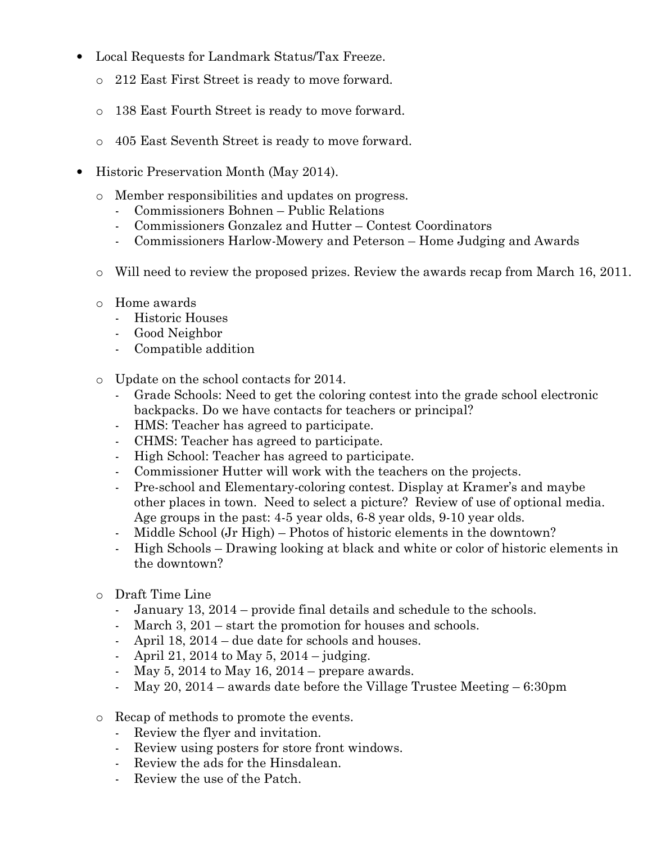- Local Requests for Landmark Status/Tax Freeze.
	- o 212 East First Street is ready to move forward.
	- o 138 East Fourth Street is ready to move forward.
	- o 405 East Seventh Street is ready to move forward.
- Historic Preservation Month (May 2014).
	- o Member responsibilities and updates on progress.
		- Commissioners Bohnen Public Relations
		- Commissioners Gonzalez and Hutter Contest Coordinators
		- Commissioners Harlow-Mowery and Peterson Home Judging and Awards
	- $\circ$  Will need to review the proposed prizes. Review the awards recap from March 16, 2011.
	- o Home awards
		- Historic Houses
		- Good Neighbor
		- Compatible addition
	- o Update on the school contacts for 2014.
		- Grade Schools: Need to get the coloring contest into the grade school electronic backpacks. Do we have contacts for teachers or principal?
		- HMS: Teacher has agreed to participate.
		- CHMS: Teacher has agreed to participate.
		- High School: Teacher has agreed to participate.
		- Commissioner Hutter will work with the teachers on the projects.
		- Pre-school and Elementary-coloring contest. Display at Kramer's and maybe other places in town. Need to select a picture? Review of use of optional media. Age groups in the past: 4-5 year olds, 6-8 year olds, 9-10 year olds.
		- Middle School (Jr High) Photos of historic elements in the downtown?
		- High Schools Drawing looking at black and white or color of historic elements in the downtown?
	- o Draft Time Line
		- January 13, 2014 provide final details and schedule to the schools.
		- March 3, 201 start the promotion for houses and schools.
		- April 18, 2014 due date for schools and houses.
		- April 21, 2014 to May 5, 2014 judging.
		- May 5, 2014 to May 16, 2014 prepare awards.
		- May 20, 2014 awards date before the Village Trustee Meeting 6:30pm
	- o Recap of methods to promote the events.
		- Review the flyer and invitation.
		- Review using posters for store front windows.
		- Review the ads for the Hinsdalean.
		- Review the use of the Patch.